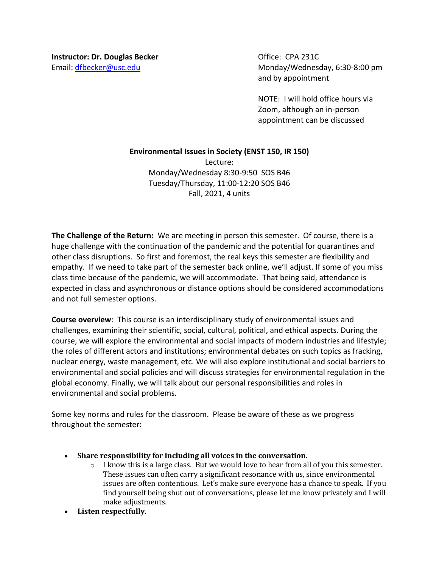Email: dfbecker@usc.edu Monday/Wednesday, 6:30-8:00 pm and by appointment

> NOTE: I will hold office hours via Zoom, although an in-person appointment can be discussed

## **Environmental Issues in Society (ENST 150, IR 150)**

Lecture: Monday/Wednesday 8:30-9:50 SOS B46 Tuesday/Thursday, 11:00-12:20 SOS B46 Fall, 2021, 4 units

**The Challenge of the Return:** We are meeting in person this semester. Of course, there is a huge challenge with the continuation of the pandemic and the potential for quarantines and other class disruptions. So first and foremost, the real keys this semester are flexibility and empathy. If we need to take part of the semester back online, we'll adjust. If some of you miss class time because of the pandemic, we will accommodate. That being said, attendance is expected in class and asynchronous or distance options should be considered accommodations and not full semester options.

**Course overview**: This course is an interdisciplinary study of environmental issues and challenges, examining their scientific, social, cultural, political, and ethical aspects. During the course, we will explore the environmental and social impacts of modern industries and lifestyle; the roles of different actors and institutions; environmental debates on such topics as fracking, nuclear energy, waste management, etc. We will also explore institutional and social barriers to environmental and social policies and will discuss strategies for environmental regulation in the global economy. Finally, we will talk about our personal responsibilities and roles in environmental and social problems.

Some key norms and rules for the classroom. Please be aware of these as we progress throughout the semester:

- **Share responsibility for including all voices in the conversation.** 
	- $\circ$  I know this is a large class. But we would love to hear from all of you this semester. These issues can often carry a significant resonance with us, since environmental issues are often contentious. Let's make sure everyone has a chance to speak. If you find yourself being shut out of conversations, please let me know privately and I will make adjustments.
- **Listen respectfully.**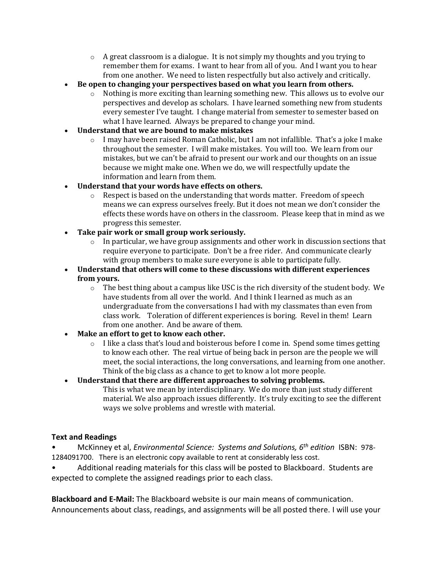- $\circ$  A great classroom is a dialogue. It is not simply my thoughts and you trying to remember them for exams. I want to hear from all of you. And I want you to hear from one another. We need to listen respectfully but also actively and critically.
- **Be open to changing your perspectives based on what you learn from others.**
	- $\circ$  Nothing is more exciting than learning something new. This allows us to evolve our perspectives and develop as scholars. I have learned something new from students every semester I've taught. I change material from semester to semester based on what I have learned. Always be prepared to change your mind.
- **Understand that we are bound to make mistakes** 
	- o I may have been raised Roman Catholic, but I am not infallible. That's a joke I make throughout the semester. I will make mistakes. You will too. We learn from our mistakes, but we can't be afraid to present our work and our thoughts on an issue because we might make one. When we do, we will respectfully update the information and learn from them.
- **Understand that your words have effects on others.**
	- $\circ$  Respect is based on the understanding that words matter. Freedom of speech means we can express ourselves freely. But it does not mean we don't consider the effects these words have on others in the classroom. Please keep that in mind as we progress this semester.
- **Take pair work or small group work seriously.**
	- $\circ$  In particular, we have group assignments and other work in discussion sections that require everyone to participate. Don't be a free rider. And communicate clearly with group members to make sure everyone is able to participate fully.
- **Understand that others will come to these discussions with different experiences from yours.**
	- $\circ$  The best thing about a campus like USC is the rich diversity of the student body. We have students from all over the world. And I think I learned as much as an undergraduate from the conversations I had with my classmates than even from class work. Toleration of different experiences is boring. Revel in them! Learn from one another. And be aware of them.
- **Make an effort to get to know each other.**
	- o I like a class that's loud and boisterous before I come in. Spend some times getting to know each other. The real virtue of being back in person are the people we will meet, the social interactions, the long conversations, and learning from one another. Think of the big class as a chance to get to know a lot more people.
	- **Understand that there are different approaches to solving problems.** This is what we mean by interdisciplinary. We do more than just study different material. We also approach issues differently. It's truly exciting to see the different ways we solve problems and wrestle with material.

# **Text and Readings**

• McKinney et al, *Environmental Science: Systems and Solutions, 6th edition* ISBN: 978- 1284091700. There is an electronic copy available to rent at considerably less cost.

• Additional reading materials for this class will be posted to Blackboard. Students are expected to complete the assigned readings prior to each class.

**Blackboard and E-Mail:** The Blackboard website is our main means of communication. Announcements about class, readings, and assignments will be all posted there. I will use your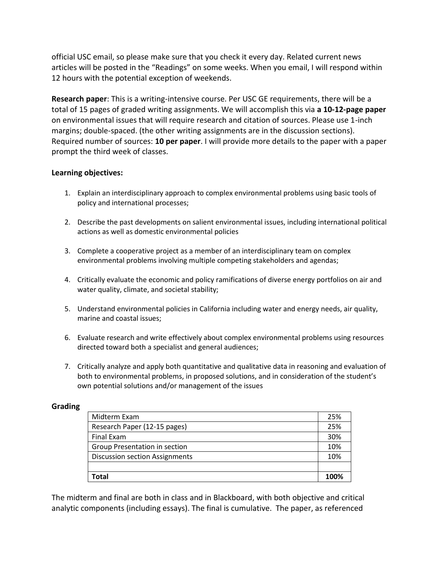official USC email, so please make sure that you check it every day. Related current news articles will be posted in the "Readings" on some weeks. When you email, I will respond within 12 hours with the potential exception of weekends.

**Research paper**: This is a writing-intensive course. Per USC GE requirements, there will be a total of 15 pages of graded writing assignments. We will accomplish this via **a 10-12-page paper**  on environmental issues that will require research and citation of sources. Please use 1-inch margins; double-spaced. (the other writing assignments are in the discussion sections). Required number of sources: **10 per paper**. I will provide more details to the paper with a paper prompt the third week of classes.

## **Learning objectives:**

- 1. Explain an interdisciplinary approach to complex environmental problems using basic tools of policy and international processes;
- 2. Describe the past developments on salient environmental issues, including international political actions as well as domestic environmental policies
- 3. Complete a cooperative project as a member of an interdisciplinary team on complex environmental problems involving multiple competing stakeholders and agendas;
- 4. Critically evaluate the economic and policy ramifications of diverse energy portfolios on air and water quality, climate, and societal stability;
- 5. Understand environmental policies in California including water and energy needs, air quality, marine and coastal issues;
- 6. Evaluate research and write effectively about complex environmental problems using resources directed toward both a specialist and general audiences;
- 7. Critically analyze and apply both quantitative and qualitative data in reasoning and evaluation of both to environmental problems, in proposed solutions, and in consideration of the student's own potential solutions and/or management of the issues

## **Grading**

| Midterm Exam                          | 25%  |
|---------------------------------------|------|
| Research Paper (12-15 pages)          | 25%  |
| Final Exam                            | 30%  |
| Group Presentation in section         | 10%  |
| <b>Discussion section Assignments</b> | 10%  |
|                                       |      |
| Total                                 | 100% |

The midterm and final are both in class and in Blackboard, with both objective and critical analytic components (including essays). The final is cumulative. The paper, as referenced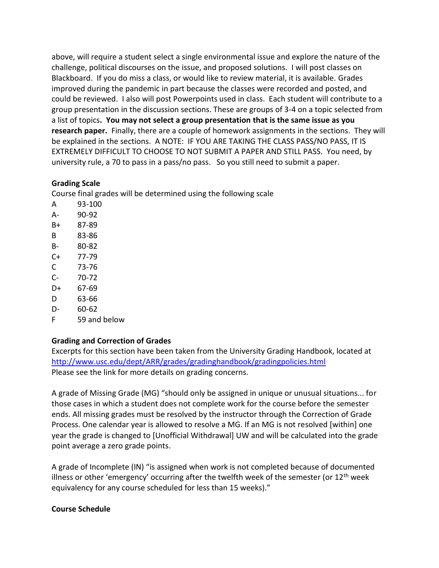above, will require a student select a single environmental issue and explore the nature of the challenge, political discourses on the issue, and proposed solutions. I will post classes on Blackboard. If you do miss a class, or would like to review material, it is available. Grades improved during the pandemic in part because the classes were recorded and posted, and could be reviewed. I also will post Powerpoints used in class. Each student will contribute to a group presentation in the discussion sections. These are groups of 3-4 on a topic selected from a list of topics**. You may not select a group presentation that is the same issue as you research paper.** Finally, there are a couple of homework assignments in the sections. They will be explained in the sections. A NOTE: IF YOU ARE TAKING THE CLASS PASS/NO PASS, IT IS EXTREMELY DIFFICULT TO CHOOSE TO NOT SUBMIT A PAPER AND STILL PASS. You need, by university rule, a 70 to pass in a pass/no pass. So you still need to submit a paper.

## **Grading Scale**

Course final grades will be determined using the following scale

- A 93-100 A- 90-92 B+ 87-89 B 83-86 B- 80-82 C+ 77-79 C 73-76 C- 70-72 D+ 67-69 D 63-66 D- 60-62
- F 59 and below

# **Grading and Correction of Grades**

Excerpts for this section have been taken from the University Grading Handbook, located at <http://www.usc.edu/dept/ARR/grades/gradinghandbook/gradingpolicies.html> Please see the link for more details on grading concerns.

A grade of Missing Grade (MG) "should only be assigned in unique or unusual situations... for those cases in which a student does not complete work for the course before the semester ends. All missing grades must be resolved by the instructor through the Correction of Grade Process. One calendar year is allowed to resolve a MG. If an MG is not resolved [within] one year the grade is changed to [Unofficial Withdrawal] UW and will be calculated into the grade point average a zero grade points.

A grade of Incomplete (IN) "is assigned when work is not completed because of documented illness or other 'emergency' occurring after the twelfth week of the semester (or  $12<sup>th</sup>$  week equivalency for any course scheduled for less than 15 weeks)."

## **Course Schedule**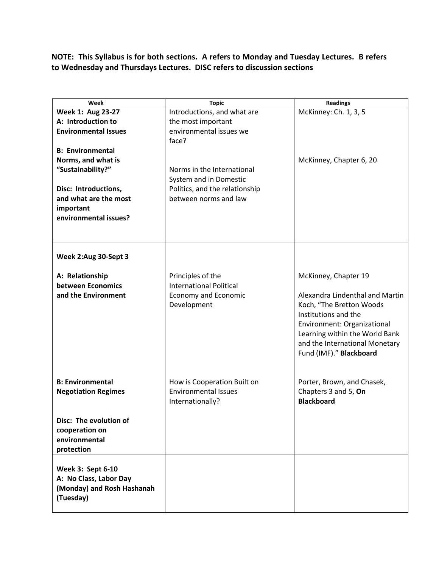**NOTE: This Syllabus is for both sections. A refers to Monday and Tuesday Lectures. B refers to Wednesday and Thursdays Lectures. DISC refers to discussion sections**

| Week                                                                                                                                                      | <b>Topic</b>                                                                                                    | <b>Readings</b>                                                                                                                                                                                                                           |
|-----------------------------------------------------------------------------------------------------------------------------------------------------------|-----------------------------------------------------------------------------------------------------------------|-------------------------------------------------------------------------------------------------------------------------------------------------------------------------------------------------------------------------------------------|
| Week 1: Aug 23-27                                                                                                                                         | Introductions, and what are                                                                                     | McKinney: Ch. 1, 3, 5                                                                                                                                                                                                                     |
| A: Introduction to<br><b>Environmental Issues</b>                                                                                                         | the most important<br>environmental issues we<br>face?                                                          |                                                                                                                                                                                                                                           |
| <b>B: Environmental</b><br>Norms, and what is<br>"Sustainability?"<br>Disc: Introductions,<br>and what are the most<br>important<br>environmental issues? | Norms in the International<br>System and in Domestic<br>Politics, and the relationship<br>between norms and law | McKinney, Chapter 6, 20                                                                                                                                                                                                                   |
| Week 2:Aug 30-Sept 3                                                                                                                                      |                                                                                                                 |                                                                                                                                                                                                                                           |
| A: Relationship<br>between Economics<br>and the Environment                                                                                               | Principles of the<br><b>International Political</b><br><b>Economy and Economic</b><br>Development               | McKinney, Chapter 19<br>Alexandra Lindenthal and Martin<br>Koch, "The Bretton Woods<br>Institutions and the<br>Environment: Organizational<br>Learning within the World Bank<br>and the International Monetary<br>Fund (IMF)." Blackboard |
| <b>B: Environmental</b><br><b>Negotiation Regimes</b>                                                                                                     | How is Cooperation Built on<br><b>Environmental Issues</b><br>Internationally?                                  | Porter, Brown, and Chasek,<br>Chapters 3 and 5, On<br><b>Blackboard</b>                                                                                                                                                                   |
| Disc: The evolution of<br>cooperation on<br>environmental<br>protection                                                                                   |                                                                                                                 |                                                                                                                                                                                                                                           |
| Week 3: Sept 6-10<br>A: No Class, Labor Day<br>(Monday) and Rosh Hashanah<br>(Tuesday)                                                                    |                                                                                                                 |                                                                                                                                                                                                                                           |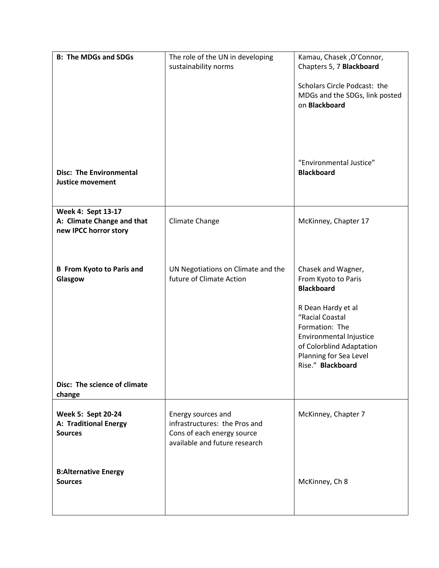| <b>B: The MDGs and SDGs</b>                                               | The role of the UN in developing                                                                                   | Kamau, Chasek, O'Connor,                                                                                                                                      |
|---------------------------------------------------------------------------|--------------------------------------------------------------------------------------------------------------------|---------------------------------------------------------------------------------------------------------------------------------------------------------------|
|                                                                           | sustainability norms                                                                                               | Chapters 5, 7 Blackboard                                                                                                                                      |
|                                                                           |                                                                                                                    | Scholars Circle Podcast: the<br>MDGs and the SDGs, link posted<br>on Blackboard                                                                               |
| <b>Disc: The Environmental</b><br><b>Justice movement</b>                 |                                                                                                                    | "Environmental Justice"<br><b>Blackboard</b>                                                                                                                  |
| Week 4: Sept 13-17<br>A: Climate Change and that<br>new IPCC horror story | Climate Change                                                                                                     | McKinney, Chapter 17                                                                                                                                          |
| <b>B</b> From Kyoto to Paris and<br>Glasgow                               | UN Negotiations on Climate and the<br>future of Climate Action                                                     | Chasek and Wagner,<br>From Kyoto to Paris<br><b>Blackboard</b>                                                                                                |
|                                                                           |                                                                                                                    | R Dean Hardy et al<br>"Racial Coastal<br>Formation: The<br>Environmental Injustice<br>of Colorblind Adaptation<br>Planning for Sea Level<br>Rise." Blackboard |
| Disc: The science of climate<br>change                                    |                                                                                                                    |                                                                                                                                                               |
| <b>Week 5: Sept 20-24</b><br>A: Traditional Energy<br><b>Sources</b>      | Energy sources and<br>infrastructures: the Pros and<br>Cons of each energy source<br>available and future research | McKinney, Chapter 7                                                                                                                                           |
| <b>B:Alternative Energy</b><br><b>Sources</b>                             |                                                                                                                    | McKinney, Ch 8                                                                                                                                                |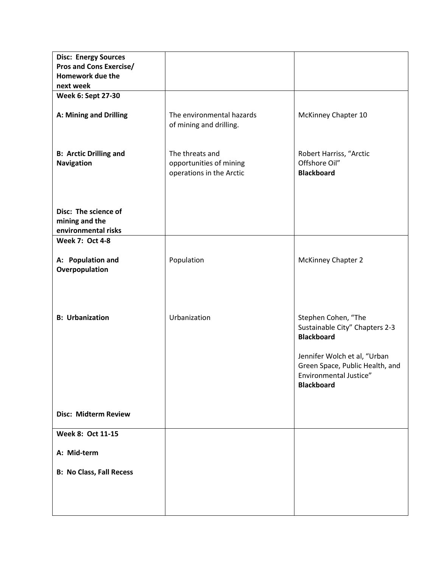| <b>Disc: Energy Sources</b>     |                           |                                                     |
|---------------------------------|---------------------------|-----------------------------------------------------|
| <b>Pros and Cons Exercise/</b>  |                           |                                                     |
| Homework due the                |                           |                                                     |
| next week                       |                           |                                                     |
| Week 6: Sept 27-30              |                           |                                                     |
|                                 |                           |                                                     |
| A: Mining and Drilling          | The environmental hazards | McKinney Chapter 10                                 |
|                                 | of mining and drilling.   |                                                     |
|                                 |                           |                                                     |
|                                 |                           |                                                     |
| <b>B: Arctic Drilling and</b>   | The threats and           | Robert Harriss, "Arctic                             |
| <b>Navigation</b>               | opportunities of mining   | Offshore Oil"                                       |
|                                 | operations in the Arctic  | <b>Blackboard</b>                                   |
|                                 |                           |                                                     |
|                                 |                           |                                                     |
| Disc: The science of            |                           |                                                     |
| mining and the                  |                           |                                                     |
| environmental risks             |                           |                                                     |
| <b>Week 7: Oct 4-8</b>          |                           |                                                     |
|                                 |                           |                                                     |
| A: Population and               | Population                | McKinney Chapter 2                                  |
| Overpopulation                  |                           |                                                     |
|                                 |                           |                                                     |
|                                 |                           |                                                     |
|                                 |                           |                                                     |
|                                 |                           |                                                     |
| <b>B: Urbanization</b>          | Urbanization              | Stephen Cohen, "The                                 |
|                                 |                           | Sustainable City" Chapters 2-3<br><b>Blackboard</b> |
|                                 |                           |                                                     |
|                                 |                           | Jennifer Wolch et al, "Urban                        |
|                                 |                           | Green Space, Public Health, and                     |
|                                 |                           | Environmental Justice"<br><b>Blackboard</b>         |
|                                 |                           |                                                     |
|                                 |                           |                                                     |
| <b>Disc: Midterm Review</b>     |                           |                                                     |
|                                 |                           |                                                     |
| Week 8: Oct 11-15               |                           |                                                     |
|                                 |                           |                                                     |
| A: Mid-term                     |                           |                                                     |
|                                 |                           |                                                     |
| <b>B: No Class, Fall Recess</b> |                           |                                                     |
|                                 |                           |                                                     |
|                                 |                           |                                                     |
|                                 |                           |                                                     |
|                                 |                           |                                                     |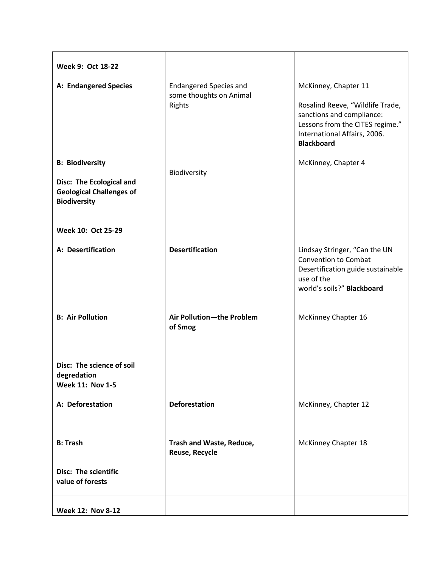| Week 9: Oct 18-22                                                                                            |                                                                    |                                                                                                                                                                               |
|--------------------------------------------------------------------------------------------------------------|--------------------------------------------------------------------|-------------------------------------------------------------------------------------------------------------------------------------------------------------------------------|
| A: Endangered Species                                                                                        | <b>Endangered Species and</b><br>some thoughts on Animal<br>Rights | McKinney, Chapter 11<br>Rosalind Reeve, "Wildlife Trade,<br>sanctions and compliance:<br>Lessons from the CITES regime."<br>International Affairs, 2006.<br><b>Blackboard</b> |
| <b>B: Biodiversity</b><br>Disc: The Ecological and<br><b>Geological Challenges of</b><br><b>Biodiversity</b> | Biodiversity                                                       | McKinney, Chapter 4                                                                                                                                                           |
| Week 10: Oct 25-29                                                                                           |                                                                    |                                                                                                                                                                               |
| A: Desertification<br><b>B: Air Pollution</b>                                                                | <b>Desertification</b><br>Air Pollution-the Problem<br>of Smog     | Lindsay Stringer, "Can the UN<br><b>Convention to Combat</b><br>Desertification guide sustainable<br>use of the<br>world's soils?" Blackboard<br>McKinney Chapter 16          |
| Disc: The science of soil<br>degredation                                                                     |                                                                    |                                                                                                                                                                               |
| <b>Week 11: Nov 1-5</b>                                                                                      |                                                                    |                                                                                                                                                                               |
| A: Deforestation                                                                                             | <b>Deforestation</b>                                               | McKinney, Chapter 12                                                                                                                                                          |
| <b>B: Trash</b>                                                                                              | Trash and Waste, Reduce,<br>Reuse, Recycle                         | McKinney Chapter 18                                                                                                                                                           |
| <b>Disc: The scientific</b><br>value of forests                                                              |                                                                    |                                                                                                                                                                               |
| <b>Week 12: Nov 8-12</b>                                                                                     |                                                                    |                                                                                                                                                                               |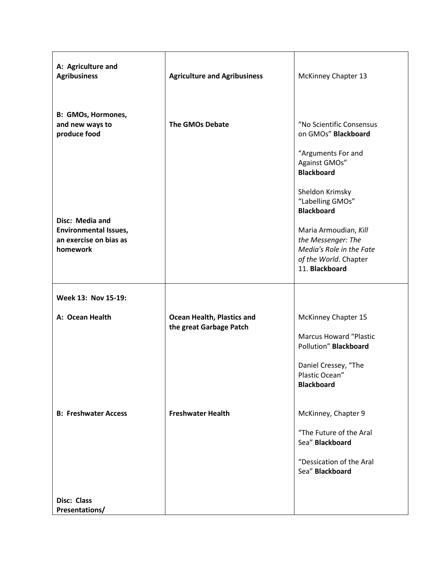| A: Agriculture and<br><b>Agribusiness</b>                          | <b>Agriculture and Agribusiness</b>                   | <b>McKinney Chapter 13</b>                                                                                                                   |
|--------------------------------------------------------------------|-------------------------------------------------------|----------------------------------------------------------------------------------------------------------------------------------------------|
| B: GMOs, Hormones,<br>and new ways to<br>produce food              | <b>The GMOs Debate</b>                                | "No Scientific Consensus<br>on GMOs" Blackboard                                                                                              |
|                                                                    |                                                       | "Arguments For and<br>Against GMOs"<br><b>Blackboard</b>                                                                                     |
| Disc: Media and                                                    |                                                       | Sheldon Krimsky<br>"Labelling GMOs"<br><b>Blackboard</b>                                                                                     |
| <b>Environmental Issues,</b><br>an exercise on bias as<br>homework |                                                       | Maria Armoudian, Kill<br>the Messenger: The<br>Media's Role in the Fate<br>of the World. Chapter<br>11. Blackboard                           |
|                                                                    |                                                       |                                                                                                                                              |
| Week 13: Nov 15-19:                                                |                                                       |                                                                                                                                              |
| A: Ocean Health                                                    | Ocean Health, Plastics and<br>the great Garbage Patch | McKinney Chapter 15<br><b>Marcus Howard "Plastic</b><br>Pollution" Blackboard<br>Daniel Cressey, "The<br>Plastic Ocean"<br><b>Blackboard</b> |
| <b>B: Freshwater Access</b>                                        | <b>Freshwater Health</b>                              | McKinney, Chapter 9<br>"The Future of the Aral<br>Sea" Blackboard<br>"Dessication of the Aral<br>Sea" Blackboard                             |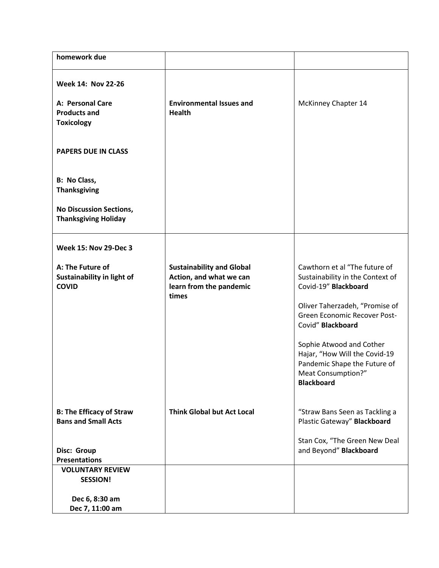| homework due                                                                 |                                                                                                 |                                                                                                                                                                                                                                                                                                                          |
|------------------------------------------------------------------------------|-------------------------------------------------------------------------------------------------|--------------------------------------------------------------------------------------------------------------------------------------------------------------------------------------------------------------------------------------------------------------------------------------------------------------------------|
| <b>Week 14: Nov 22-26</b>                                                    |                                                                                                 |                                                                                                                                                                                                                                                                                                                          |
| A: Personal Care<br><b>Products and</b><br><b>Toxicology</b>                 | <b>Environmental Issues and</b><br><b>Health</b>                                                | McKinney Chapter 14                                                                                                                                                                                                                                                                                                      |
| <b>PAPERS DUE IN CLASS</b>                                                   |                                                                                                 |                                                                                                                                                                                                                                                                                                                          |
| <b>B: No Class,</b><br><b>Thanksgiving</b>                                   |                                                                                                 |                                                                                                                                                                                                                                                                                                                          |
| <b>No Discussion Sections,</b><br><b>Thanksgiving Holiday</b>                |                                                                                                 |                                                                                                                                                                                                                                                                                                                          |
| <b>Week 15: Nov 29-Dec 3</b>                                                 |                                                                                                 |                                                                                                                                                                                                                                                                                                                          |
| A: The Future of<br>Sustainability in light of<br><b>COVID</b>               | <b>Sustainability and Global</b><br>Action, and what we can<br>learn from the pandemic<br>times | Cawthorn et al "The future of<br>Sustainability in the Context of<br>Covid-19" Blackboard<br>Oliver Taherzadeh, "Promise of<br>Green Economic Recover Post-<br>Covid" Blackboard<br>Sophie Atwood and Cother<br>Hajar, "How Will the Covid-19<br>Pandemic Shape the Future of<br>Meat Consumption?"<br><b>Blackboard</b> |
| <b>B: The Efficacy of Straw</b><br><b>Bans and Small Acts</b><br>Disc: Group | <b>Think Global but Act Local</b>                                                               | "Straw Bans Seen as Tackling a<br>Plastic Gateway" Blackboard<br>Stan Cox, "The Green New Deal<br>and Beyond" Blackboard                                                                                                                                                                                                 |
| <b>Presentations</b><br><b>VOLUNTARY REVIEW</b><br><b>SESSION!</b>           |                                                                                                 |                                                                                                                                                                                                                                                                                                                          |
| Dec 6, 8:30 am<br>Dec 7, 11:00 am                                            |                                                                                                 |                                                                                                                                                                                                                                                                                                                          |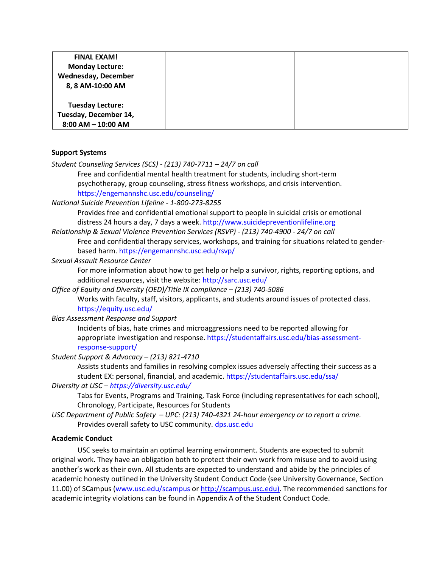| <b>FINAL EXAM!</b>         |  |
|----------------------------|--|
| <b>Monday Lecture:</b>     |  |
| <b>Wednesday, December</b> |  |
| 8, 8 AM-10:00 AM           |  |
|                            |  |
| <b>Tuesday Lecture:</b>    |  |
| Tuesday, December 14,      |  |
| $8:00$ AM $-$ 10:00 AM     |  |

#### **Support Systems**

*Student Counseling Services (SCS) - (213) 740-7711 – 24/7 on call* 

Free and confidential mental health treatment for students, including short-term psychotherapy, group counseling, stress fitness workshops, and crisis intervention. https://engemannshc.usc.edu/counseling/

*National Suicide Prevention Lifeline - 1-800-273-8255* 

Provides free and confidential emotional support to people in suicidal crisis or emotional distress 24 hours a day, 7 days a week. http://www.suicidepreventionlifeline.org

*Relationship & Sexual Violence Prevention Services (RSVP) - (213) 740-4900 - 24/7 on call* 

Free and confidential therapy services, workshops, and training for situations related to genderbased harm. https://engemannshc.usc.edu/rsvp/

*Sexual Assault Resource Center* 

For more information about how to get help or help a survivor, rights, reporting options, and additional resources, visit the website: http://sarc.usc.edu/

*Office of Equity and Diversity (OED)/Title IX compliance – (213) 740-5086* 

Works with faculty, staff, visitors, applicants, and students around issues of protected class. https://equity.usc.edu/

*Bias Assessment Response and Support* 

Incidents of bias, hate crimes and microaggressions need to be reported allowing for appropriate investigation and response. https://studentaffairs.usc.edu/bias-assessmentresponse-support/

*Student Support & Advocacy – (213) 821-4710* 

Assists students and families in resolving complex issues adversely affecting their success as a student EX: personal, financial, and academic. https://studentaffairs.usc.edu/ssa/ *Diversity at USC – https://diversity.usc.edu/* 

Tabs for Events, Programs and Training, Task Force (including representatives for each school), Chronology, Participate, Resources for Students

*USC Department of Public Safety – UPC: (213) 740-4321 24-hour emergency or to report a crime.*  Provides overall safety to USC community. [dps.usc.edu](http://dps.usc.edu/)

#### **Academic Conduct**

USC seeks to maintain an optimal learning environment. Students are expected to submit original work. They have an obligation both to protect their own work from misuse and to avoid using another's work as their own. All students are expected to understand and abide by the principles of academic honesty outlined in the University Student Conduct Code (see University Governance, Section 11.00) of SCampus (www.usc.edu/scampus or [http://scampus.usc.edu\).](http://scampus.usc.edu)/) The recommended sanctions for academic integrity violations can be found in Appendix A of the Student Conduct Code.